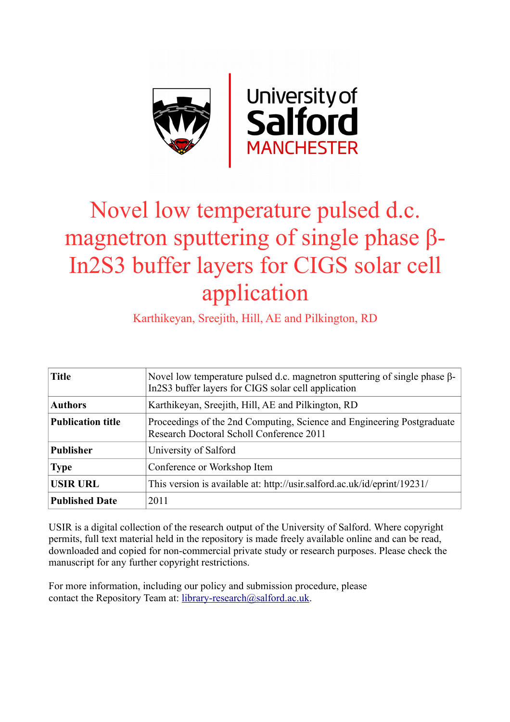

## Novel low temperature pulsed d.c. magnetron sputtering of single phase β-In2S3 buffer layers for CIGS solar cell application

Karthikeyan, Sreejith, Hill, AE and Pilkington, RD

| <b>Title</b>             | Novel low temperature pulsed d.c. magnetron sputtering of single phase $\beta$ -<br>In 2S3 buffer layers for CIGS solar cell application |
|--------------------------|------------------------------------------------------------------------------------------------------------------------------------------|
| <b>Authors</b>           | Karthikeyan, Sreejith, Hill, AE and Pilkington, RD                                                                                       |
| <b>Publication title</b> | Proceedings of the 2nd Computing, Science and Engineering Postgraduate<br>Research Doctoral Scholl Conference 2011                       |
| <b>Publisher</b>         | University of Salford                                                                                                                    |
| <b>Type</b>              | Conference or Workshop Item                                                                                                              |
| <b>USIR URL</b>          | This version is available at: http://usir.salford.ac.uk/id/eprint/19231/                                                                 |
| <b>Published Date</b>    | 2011                                                                                                                                     |

USIR is a digital collection of the research output of the University of Salford. Where copyright permits, full text material held in the repository is made freely available online and can be read, downloaded and copied for non-commercial private study or research purposes. Please check the manuscript for any further copyright restrictions.

For more information, including our policy and submission procedure, please contact the Repository Team at: [library-research@salford.ac.uk.](mailto:library-research@salford.ac.uk)